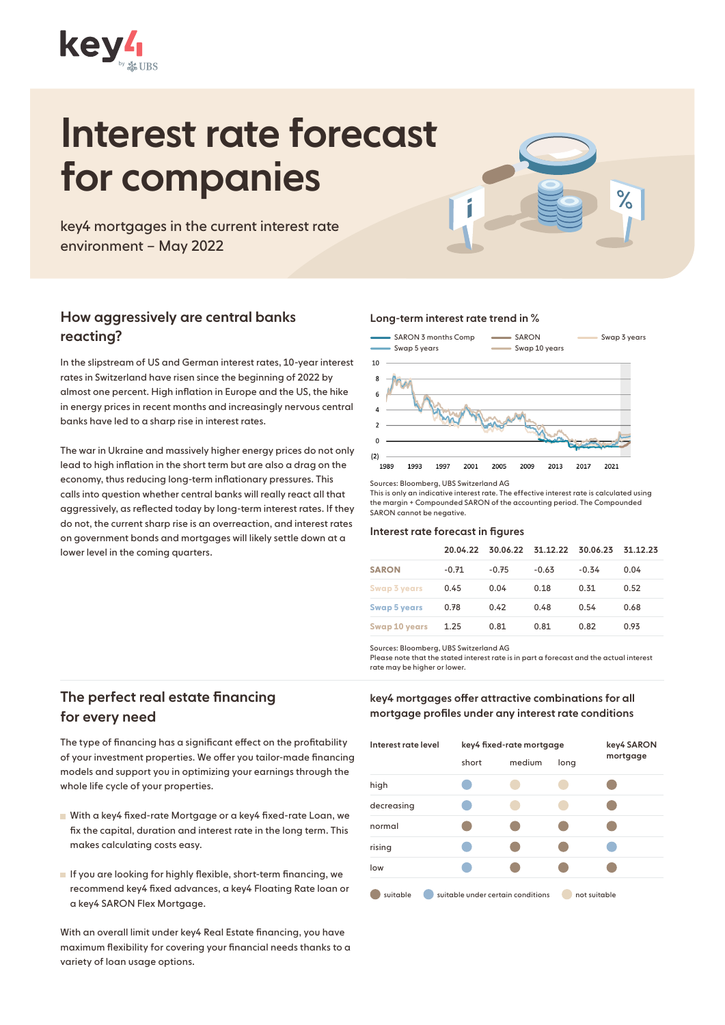

# Interest rate forecast for companies

key4 mortgages in the current interest rate environment – May 2022

## How aggressively are central banks reacting?

In the slipstream of US and German interest rates, 10-year interest rates in Switzerland have risen since the beginning of 2022 by almost one percent. High inflation in Europe and the US, the hike in energy prices in recent months and increasingly nervous central banks have led to a sharp rise in interest rates.

The war in Ukraine and massively higher energy prices do not only lead to high inflation in the short term but are also a drag on the economy, thus reducing long-term inflationary pressures. This calls into question whether central banks will really react all that aggressively, as reflected today by long-term interest rates. If they do not, the current sharp rise is an overreaction, and interest rates on government bonds and mortgages will likely settle down at a lower level in the coming quarters.

#### Long-term interest rate trend in %



 $\%$ 

Sources: Bloomberg, UBS Switzerland AG

This is only an indicative interest rate. The effective interest rate is calculated using the margin + Compounded SARON of the accounting period. The Compounded SARON cannot be negative.

#### Interest rate forecast in figures

|                      |         |         |         | 20.04.22 30.06.22 31.12.22 30.06.23 31.12.23 |      |
|----------------------|---------|---------|---------|----------------------------------------------|------|
| <b>SARON</b>         | $-0.71$ | $-0.75$ | $-0.63$ | $-0.34$                                      | 0.04 |
| Swap 3 years         | 0.45    | 0.04    | 0.18    | 0.31                                         | 0.52 |
| <b>Swap 5 years</b>  | 0.78    | 0.42    | 0.48    | 0.54                                         | 0.68 |
| <b>Swap 10 years</b> | 1.25    | 0.81    | 0.81    | 0.82                                         | 0.93 |

Sources: Bloomberg, UBS Switzerland AG

Please note that the stated interest rate is in part a forecast and the actual interest rate may be higher or lower.

# The perfect real estate financing for every need

The type of financing has a significant effect on the profitability of your investment properties. We offer you tailor-made financing models and support you in optimizing your earnings through the whole life cycle of your properties.

- With a key4 fixed-rate Mortgage or a key4 fixed-rate Loan, we fix the capital, duration and interest rate in the long term. This makes calculating costs easy.
- If you are looking for highly flexible, short-term financing, we recommend key4 fixed advances, a key4 Floating Rate loan or a key4 SARON Flex Mortgage.

With an overall limit under key4 Real Estate financing, you have maximum flexibility for covering your financial needs thanks to a variety of loan usage options.

key4 mortgages offer attractive combinations for all mortgage profiles under any interest rate conditions

| Interest rate level | key4 fixed-rate mortgage | key4 SARON                        |      |              |
|---------------------|--------------------------|-----------------------------------|------|--------------|
|                     | short                    | medium                            | long | mortgage     |
| high                |                          |                                   |      |              |
| decreasing          |                          |                                   |      |              |
| normal              |                          |                                   |      |              |
| rising              |                          |                                   |      |              |
| low                 |                          |                                   |      |              |
| suitable            |                          | suitable under certain conditions |      | not suitable |